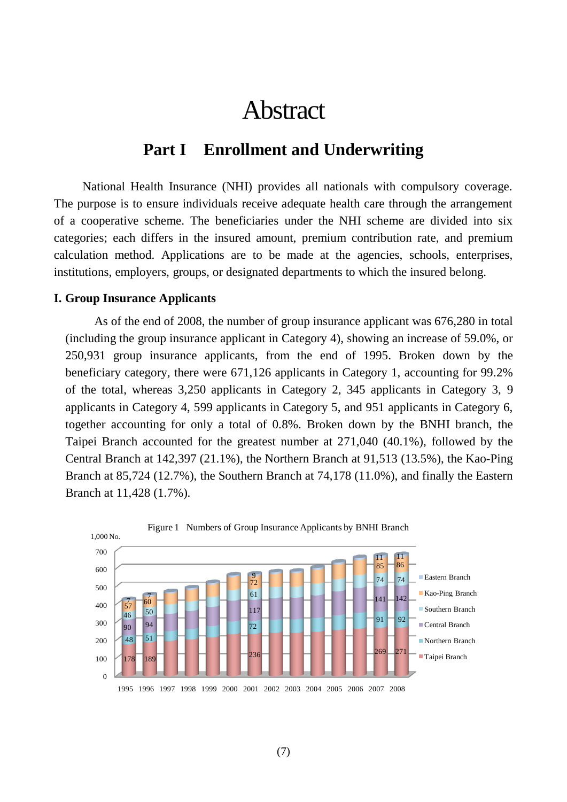# Abstract

## **Part I Enrollment and Underwriting**

National Health Insurance (NHI) provides all nationals with compulsory coverage. The purpose is to ensure individuals receive adequate health care through the arrangement of a cooperative scheme. The beneficiaries under the NHI scheme are divided into six categories; each differs in the insured amount, premium contribution rate, and premium calculation method. Applications are to be made at the agencies, schools, enterprises, institutions, employers, groups, or designated departments to which the insured belong.

#### **I. Group Insurance Applicants**

As of the end of 2008, the number of group insurance applicant was 676,280 in total (including the group insurance applicant in Category 4), showing an increase of 59.0%, or 250,931 group insurance applicants, from the end of 1995. Broken down by the beneficiary category, there were 671,126 applicants in Category 1, accounting for 99.2% of the total, whereas 3,250 applicants in Category 2, 345 applicants in Category 3, 9 applicants in Category 4, 599 applicants in Category 5, and 951 applicants in Category 6, together accounting for only a total of 0.8%. Broken down by the BNHI branch, the Taipei Branch accounted for the greatest number at 271,040 (40.1%), followed by the Central Branch at 142,397 (21.1%), the Northern Branch at 91,513 (13.5%), the Kao-Ping Branch at 85,724 (12.7%), the Southern Branch at 74,178 (11.0%), and finally the Eastern Branch at 11,428 (1.7%).

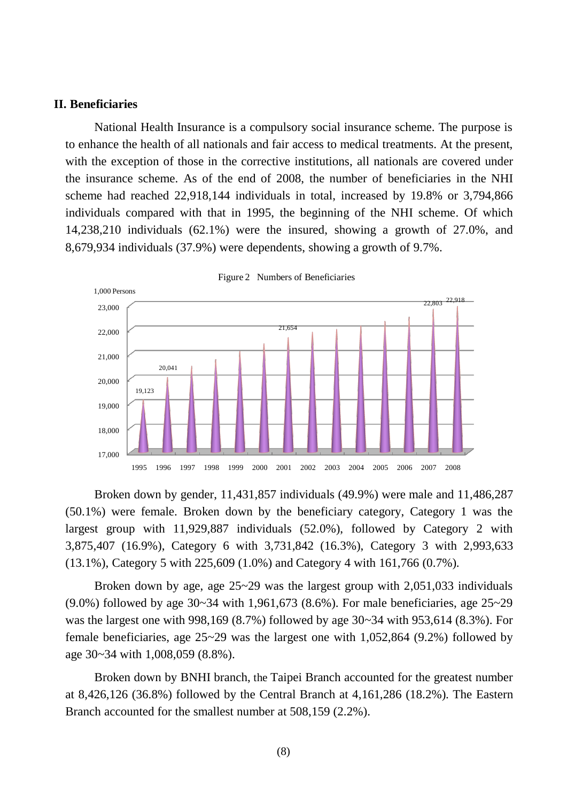#### **II. Beneficiaries**

National Health Insurance is a compulsory social insurance scheme. The purpose is to enhance the health of all nationals and fair access to medical treatments. At the present, with the exception of those in the corrective institutions, all nationals are covered under the insurance scheme. As of the end of 2008, the number of beneficiaries in the NHI scheme had reached 22,918,144 individuals in total, increased by 19.8% or 3,794,866 individuals compared with that in 1995, the beginning of the NHI scheme. Of which 14,238,210 individuals (62.1%) were the insured, showing a growth of 27.0%, and 8,679,934 individuals (37.9%) were dependents, showing a growth of 9.7%.



Figure 2 Numbers of Beneficiaries

Broken down by gender, 11,431,857 individuals (49.9%) were male and 11,486,287 (50.1%) were female. Broken down by the beneficiary category, Category 1 was the largest group with 11,929,887 individuals (52.0%), followed by Category 2 with 3,875,407 (16.9%), Category 6 with 3,731,842 (16.3%), Category 3 with 2,993,633 (13.1%), Category 5 with 225,609 (1.0%) and Category 4 with 161,766 (0.7%).

Broken down by age, age 25~29 was the largest group with 2,051,033 individuals (9.0%) followed by age 30~34 with 1,961,673 (8.6%). For male beneficiaries, age 25~29 was the largest one with 998,169 (8.7%) followed by age 30~34 with 953,614 (8.3%). For female beneficiaries, age 25~29 was the largest one with 1,052,864 (9.2%) followed by age 30~34 with 1,008,059 (8.8%).

Broken down by BNHI branch, the Taipei Branch accounted for the greatest number at 8,426,126 (36.8%) followed by the Central Branch at 4,161,286 (18.2%). The Eastern Branch accounted for the smallest number at 508,159 (2.2%).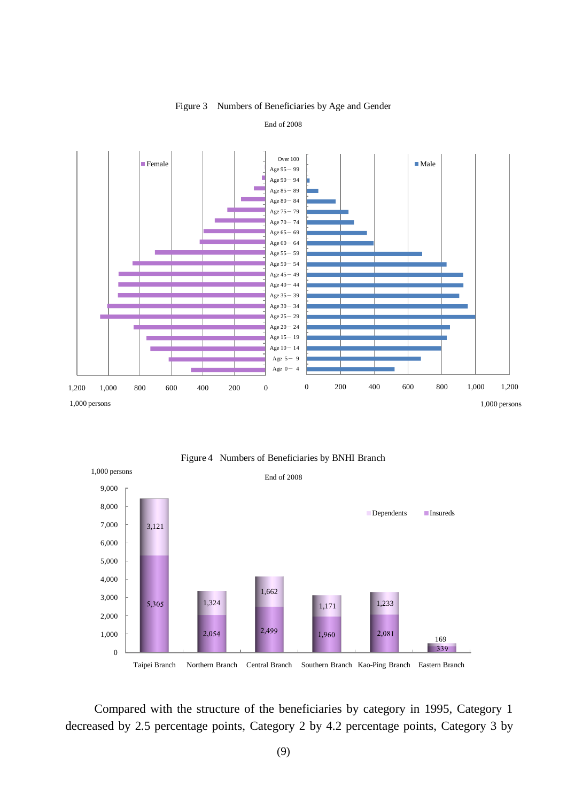

Figure 3 Numbers of Beneficiaries by Age and Gender

#### End of 2008

1,000 persons End of 2008 9,000 8,000 Dependents Insureds 7,000 3,121 6,000 5,000 4,000 1,662 3,000 1,324 1,171 1,233 5,305 2,000 2,499 1,000 2,054 1,960 2,081 169 339 0

Figure 4 Numbers of Beneficiaries by BNHI Branch

Taipei Branch Northern Branch Central Branch Southern Branch Kao-Ping Branch Eastern Branch

Compared with the structure of the beneficiaries by category in 1995, Category 1 decreased by 2.5 percentage points, Category 2 by 4.2 percentage points, Category 3 by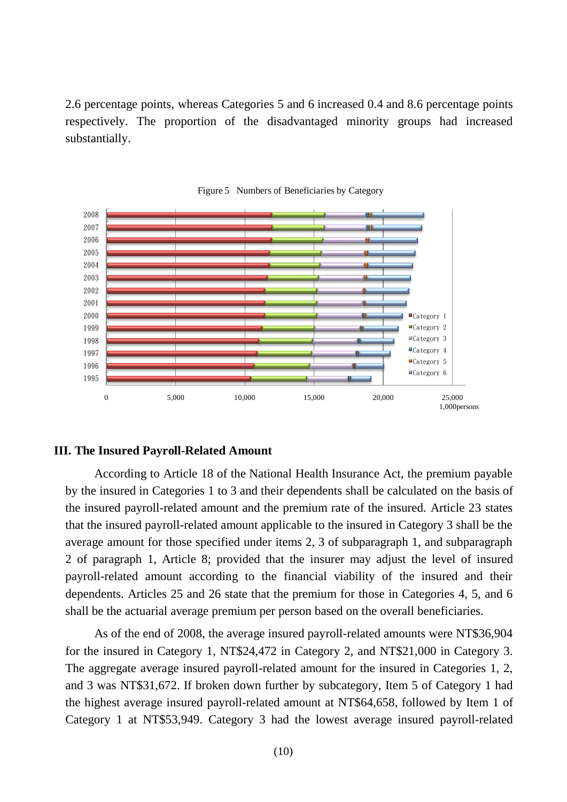2.6 percentage points, whereas Categories 5 and 6 increased 0.4 and 8.6 percentage points respectively. The proportion of the disadvantaged minority groups had increased substantially.





#### **III. The Insured Payroll-Related Amount**

According to Article 18 of the National Health Insurance Act, the premium payable by the insured in Categories 1 to 3 and their dependents shall be calculated on the basis of the insured payroll-related amount and the premium rate of the insured. Article 23 states that the insured payroll-related amount applicable to the insured in Category 3 shall be the average amount for those specified under items 2, 3 of subparagraph 1, and subparagraph 2 of paragraph 1, Article 8; provided that the insurer may adjust the level of insured payroll-related amount according to the financial viability of the insured and their dependents. Articles 25 and 26 state that the premium for those in Categories 4, 5, and 6 shall be the actuarial average premium per person based on the overall beneficiaries.

As of the end of 2008, the average insured payroll-related amounts were NT\$36,904 for the insured in Category 1, NT\$24,472 in Category 2, and NT\$21,000 in Category 3. The aggregate average insured payroll-related amount for the insured in Categories 1, 2, and 3 was NT\$31,672. If broken down further by subcategory, Item 5 of Category 1 had the highest average insured payroll-related amount at NT\$64,658, followed by Item 1 of Category 1 at NT\$53,949. Category 3 had the lowest average insured payroll-related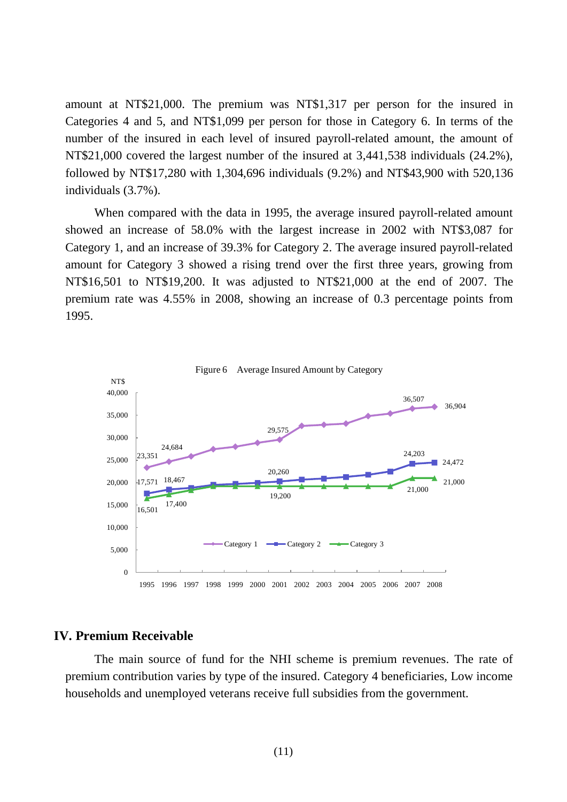amount at NT\$21,000. The premium was NT\$1,317 per person for the insured in Categories 4 and 5, and NT\$1,099 per person for those in Category 6. In terms of the number of the insured in each level of insured payroll-related amount, the amount of NT\$21,000 covered the largest number of the insured at 3,441,538 individuals (24.2%), followed by NT\$17,280 with 1,304,696 individuals (9.2%) and NT\$43,900 with 520,136 individuals (3.7%).

When compared with the data in 1995, the average insured payroll-related amount showed an increase of 58.0% with the largest increase in 2002 with NT\$3,087 for Category 1, and an increase of 39.3% for Category 2. The average insured payroll-related amount for Category 3 showed a rising trend over the first three years, growing from NT\$16,501 to NT\$19,200. It was adjusted to NT\$21,000 at the end of 2007. The premium rate was 4.55% in 2008, showing an increase of 0.3 percentage points from 1995.



### **IV. Premium Receivable**

The main source of fund for the NHI scheme is premium revenues. The rate of premium contribution varies by type of the insured. Category 4 beneficiaries, Low income households and unemployed veterans receive full subsidies from the government.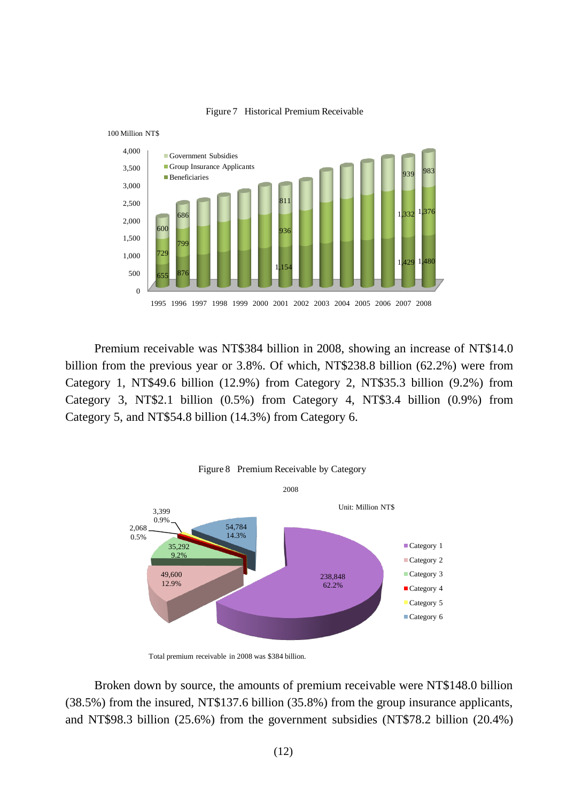



Premium receivable was NT\$384 billion in 2008, showing an increase of NT\$14.0 billion from the previous year or 3.8%. Of which, NT\$238.8 billion (62.2%) were from Category 1, NT\$49.6 billion (12.9%) from Category 2, NT\$35.3 billion (9.2%) from Category 3, NT\$2.1 billion (0.5%) from Category 4, NT\$3.4 billion (0.9%) from Category 5, and NT\$54.8 billion (14.3%) from Category 6.



Total premium receivable in 2008 was \$384 billion.

Broken down by source, the amounts of premium receivable were NT\$148.0 billion (38.5%) from the insured, NT\$137.6 billion (35.8%) from the group insurance applicants, and NT\$98.3 billion (25.6%) from the government subsidies (NT\$78.2 billion (20.4%)